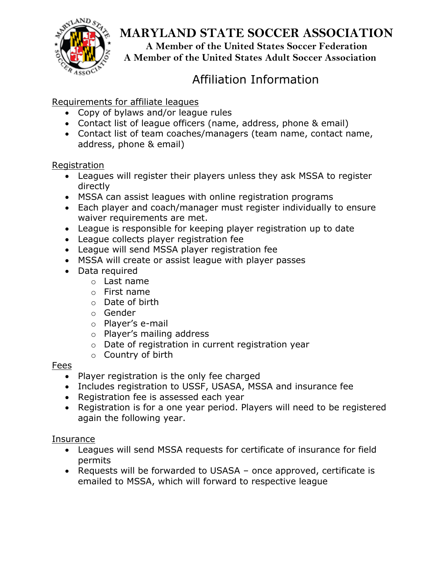

# **MARYLAND STATE SOCCER ASSOCIATION**

**A Member of the United States Soccer Federation**

**A Member of the United States Adult Soccer Association**

# Affiliation Information

### Requirements for affiliate leagues

- Copy of bylaws and/or league rules
- Contact list of league officers (name, address, phone & email)
- Contact list of team coaches/managers (team name, contact name, address, phone & email)

### Registration

- Leagues will register their players unless they ask MSSA to register directly
- MSSA can assist leagues with online registration programs
- Each player and coach/manager must register individually to ensure waiver requirements are met.
- League is responsible for keeping player registration up to date
- League collects player registration fee
- League will send MSSA player registration fee
- MSSA will create or assist league with player passes
- Data required
	- o Last name
	- $\circ$  First name
	- o Date of birth
	- o Gender
	- o Player's e-mail
	- o Player's mailing address
	- o Date of registration in current registration year
	- o Country of birth

### **Fees**

- Player registration is the only fee charged
- Includes registration to USSF, USASA, MSSA and insurance fee
- Registration fee is assessed each year
- Registration is for a one year period. Players will need to be registered again the following year.

### Insurance

- Leagues will send MSSA requests for certificate of insurance for field permits
- Requests will be forwarded to USASA once approved, certificate is emailed to MSSA, which will forward to respective league